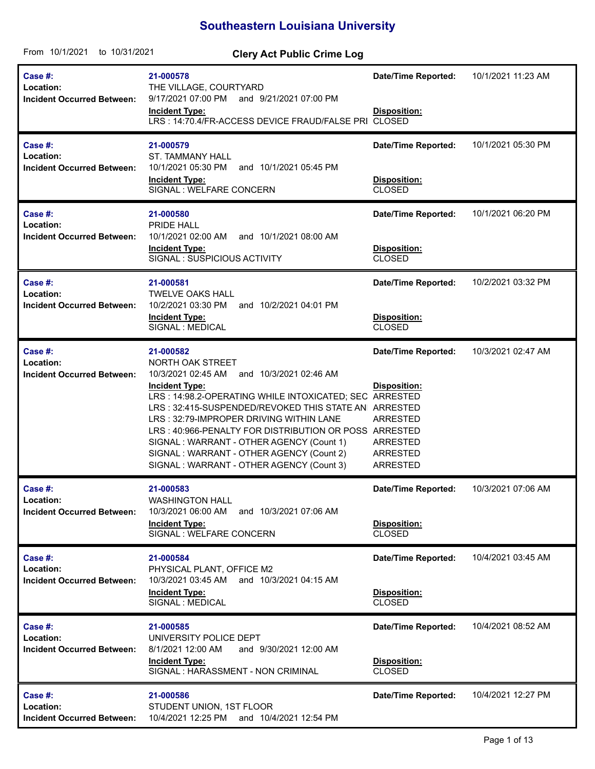## **Southeastern Louisiana University**

| From 10/1/2021<br>to 10/31/2021                           | <b>Clery Act Public Crime Log</b>                                                                                                                                                                                                                                                                                                                                                                                                                                 |                                                                                                                        |                    |
|-----------------------------------------------------------|-------------------------------------------------------------------------------------------------------------------------------------------------------------------------------------------------------------------------------------------------------------------------------------------------------------------------------------------------------------------------------------------------------------------------------------------------------------------|------------------------------------------------------------------------------------------------------------------------|--------------------|
| Case #:<br>Location:<br><b>Incident Occurred Between:</b> | 21-000578<br>THE VILLAGE, COURTYARD<br>9/17/2021 07:00 PM and 9/21/2021 07:00 PM<br><b>Incident Type:</b><br>LRS: 14:70.4/FR-ACCESS DEVICE FRAUD/FALSE PRI CLOSED                                                                                                                                                                                                                                                                                                 | <b>Date/Time Reported:</b><br>Disposition:                                                                             | 10/1/2021 11:23 AM |
| Case #:<br>Location:<br><b>Incident Occurred Between:</b> | 21-000579<br><b>ST. TAMMANY HALL</b><br>10/1/2021 05:30 PM<br>and 10/1/2021 05:45 PM<br><b>Incident Type:</b><br>SIGNAL : WELFARE CONCERN                                                                                                                                                                                                                                                                                                                         | <b>Date/Time Reported:</b><br>Disposition:<br><b>CLOSED</b>                                                            | 10/1/2021 05:30 PM |
| Case #:<br>Location:<br><b>Incident Occurred Between:</b> | 21-000580<br>PRIDE HALL<br>10/1/2021 02:00 AM<br>and 10/1/2021 08:00 AM<br><b>Incident Type:</b><br>SIGNAL: SUSPICIOUS ACTIVITY                                                                                                                                                                                                                                                                                                                                   | <b>Date/Time Reported:</b><br>Disposition:<br><b>CLOSED</b>                                                            | 10/1/2021 06:20 PM |
| Case #:<br>Location:<br><b>Incident Occurred Between:</b> | 21-000581<br><b>TWELVE OAKS HALL</b><br>10/2/2021 03:30 PM<br>and 10/2/2021 04:01 PM<br><b>Incident Type:</b><br>SIGNAL : MEDICAL                                                                                                                                                                                                                                                                                                                                 | <b>Date/Time Reported:</b><br>Disposition:<br><b>CLOSED</b>                                                            | 10/2/2021 03:32 PM |
| Case #:<br>Location:<br><b>Incident Occurred Between:</b> | 21-000582<br>NORTH OAK STREET<br>10/3/2021 02:45 AM<br>and 10/3/2021 02:46 AM<br><b>Incident Type:</b><br>LRS: 14:98.2-OPERATING WHILE INTOXICATED; SEC ARRESTED<br>LRS: 32:415-SUSPENDED/REVOKED THIS STATE AN ARRESTED<br>LRS: 32:79-IMPROPER DRIVING WITHIN LANE<br>LRS: 40:966-PENALTY FOR DISTRIBUTION OR POSS ARRESTED<br>SIGNAL: WARRANT - OTHER AGENCY (Count 1)<br>SIGNAL : WARRANT - OTHER AGENCY (Count 2)<br>SIGNAL: WARRANT - OTHER AGENCY (Count 3) | <b>Date/Time Reported:</b><br>Disposition:<br><b>ARRESTED</b><br><b>ARRESTED</b><br><b>ARRESTED</b><br><b>ARRESTED</b> | 10/3/2021 02:47 AM |
| Case #:<br>Location:<br><b>Incident Occurred Between:</b> | 21-000583<br><b>WASHINGTON HALL</b><br>10/3/2021 06:00 AM<br>and 10/3/2021 07:06 AM<br><b>Incident Type:</b><br>SIGNAL : WELFARE CONCERN                                                                                                                                                                                                                                                                                                                          | <b>Date/Time Reported:</b><br>Disposition:<br><b>CLOSED</b>                                                            | 10/3/2021 07:06 AM |
| Case #:<br>Location:<br><b>Incident Occurred Between:</b> | 21-000584<br>PHYSICAL PLANT, OFFICE M2<br>10/3/2021 03:45 AM and 10/3/2021 04:15 AM<br><b>Incident Type:</b><br>SIGNAL : MEDICAL                                                                                                                                                                                                                                                                                                                                  | <b>Date/Time Reported:</b><br>Disposition:<br><b>CLOSED</b>                                                            | 10/4/2021 03:45 AM |
| Case #:<br>Location:<br><b>Incident Occurred Between:</b> | 21-000585<br>UNIVERSITY POLICE DEPT<br>8/1/2021 12:00 AM<br>and 9/30/2021 12:00 AM<br><b>Incident Type:</b><br>SIGNAL : HARASSMENT - NON CRIMINAL                                                                                                                                                                                                                                                                                                                 | <b>Date/Time Reported:</b><br>Disposition:<br><b>CLOSED</b>                                                            | 10/4/2021 08:52 AM |
| Case #:<br>Location:<br><b>Incident Occurred Between:</b> | 21-000586<br>STUDENT UNION, 1ST FLOOR<br>10/4/2021 12:25 PM and 10/4/2021 12:54 PM                                                                                                                                                                                                                                                                                                                                                                                | <b>Date/Time Reported:</b>                                                                                             | 10/4/2021 12:27 PM |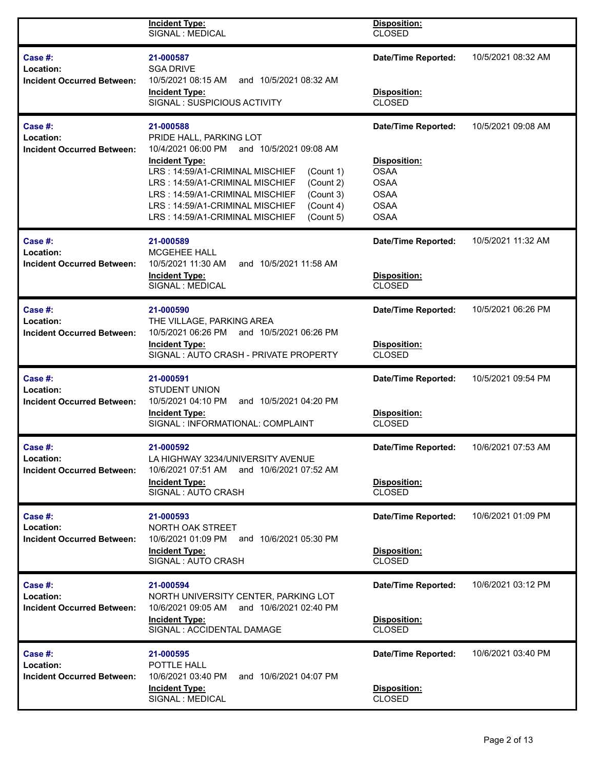|                                                           | <b>Incident Type:</b><br>SIGNAL : MEDICAL                                                                      | Disposition:<br><b>CLOSED</b>              |                    |
|-----------------------------------------------------------|----------------------------------------------------------------------------------------------------------------|--------------------------------------------|--------------------|
| Case #:<br>Location:<br><b>Incident Occurred Between:</b> | 21-000587<br><b>SGA DRIVE</b><br>and 10/5/2021 08:32 AM<br>10/5/2021 08:15 AM<br><b>Incident Type:</b>         | <b>Date/Time Reported:</b><br>Disposition: | 10/5/2021 08:32 AM |
|                                                           | SIGNAL: SUSPICIOUS ACTIVITY                                                                                    | <b>CLOSED</b>                              |                    |
| Case #:<br>Location:<br><b>Incident Occurred Between:</b> | 21-000588<br>PRIDE HALL, PARKING LOT<br>10/4/2021 06:00 PM<br>and 10/5/2021 09:08 AM                           | <b>Date/Time Reported:</b>                 | 10/5/2021 09:08 AM |
|                                                           | <b>Incident Type:</b><br>LRS: 14:59/A1-CRIMINAL MISCHIEF<br>(Count 1)                                          | Disposition:<br><b>OSAA</b>                |                    |
|                                                           | LRS: 14:59/A1-CRIMINAL MISCHIEF<br>(Count 2)<br>(Count 3)<br>LRS: 14:59/A1-CRIMINAL MISCHIEF                   | <b>OSAA</b><br><b>OSAA</b>                 |                    |
|                                                           | LRS: 14:59/A1-CRIMINAL MISCHIEF<br>(Count 4)                                                                   | <b>OSAA</b>                                |                    |
|                                                           | (Count 5)<br>LRS: 14:59/A1-CRIMINAL MISCHIEF                                                                   | <b>OSAA</b>                                |                    |
| Case #:<br>Location:                                      | 21-000589<br><b>MCGEHEE HALL</b>                                                                               | <b>Date/Time Reported:</b>                 | 10/5/2021 11:32 AM |
| <b>Incident Occurred Between:</b>                         | 10/5/2021 11:30 AM<br>and 10/5/2021 11:58 AM<br><b>Incident Type:</b>                                          | Disposition:                               |                    |
|                                                           | SIGNAL : MEDICAL                                                                                               | <b>CLOSED</b>                              |                    |
| Case #:<br>Location:                                      | 21-000590<br>THE VILLAGE, PARKING AREA                                                                         | <b>Date/Time Reported:</b>                 | 10/5/2021 06:26 PM |
| <b>Incident Occurred Between:</b>                         | 10/5/2021 06:26 PM<br>and 10/5/2021 06:26 PM<br><b>Incident Type:</b><br>SIGNAL: AUTO CRASH - PRIVATE PROPERTY | Disposition:<br><b>CLOSED</b>              |                    |
| Case #:                                                   | 21-000591                                                                                                      | <b>Date/Time Reported:</b>                 | 10/5/2021 09:54 PM |
| Location:<br><b>Incident Occurred Between:</b>            | <b>STUDENT UNION</b><br>10/5/2021 04:10 PM<br>and 10/5/2021 04:20 PM                                           |                                            |                    |
|                                                           | <b>Incident Type:</b><br>SIGNAL : INFORMATIONAL: COMPLAINT                                                     | Disposition:<br><b>CLOSED</b>              |                    |
| <b>Case #:</b><br>Location:                               | 21-000592<br>LA HIGHWAY 3234/UNIVERSITY AVENUE                                                                 | <b>Date/Time Reported:</b>                 | 10/6/2021 07:53 AM |
| <b>Incident Occurred Between:</b>                         | 10/6/2021 07:51 AM<br>and 10/6/2021 07:52 AM                                                                   |                                            |                    |
|                                                           | <b>Incident Type:</b><br>SIGNAL: AUTO CRASH                                                                    | Disposition:<br><b>CLOSED</b>              |                    |
| Case #:<br>Location:                                      | 21-000593<br>NORTH OAK STREET                                                                                  | <b>Date/Time Reported:</b>                 | 10/6/2021 01:09 PM |
| <b>Incident Occurred Between:</b>                         | 10/6/2021 01:09 PM<br>and 10/6/2021 05:30 PM<br><b>Incident Type:</b>                                          | <b>Disposition:</b>                        |                    |
|                                                           | SIGNAL: AUTO CRASH                                                                                             | <b>CLOSED</b>                              |                    |
| Case #:<br>Location:                                      | 21-000594<br>NORTH UNIVERSITY CENTER, PARKING LOT                                                              | <b>Date/Time Reported:</b>                 | 10/6/2021 03:12 PM |
| <b>Incident Occurred Between:</b>                         | 10/6/2021 09:05 AM<br>and 10/6/2021 02:40 PM                                                                   |                                            |                    |
|                                                           | <b>Incident Type:</b><br>SIGNAL : ACCIDENTAL DAMAGE                                                            | Disposition:<br><b>CLOSED</b>              |                    |
| Case #:<br>Location:                                      | 21-000595<br>POTTLE HALL                                                                                       | <b>Date/Time Reported:</b>                 | 10/6/2021 03:40 PM |
| <b>Incident Occurred Between:</b>                         | 10/6/2021 03:40 PM<br>and 10/6/2021 04:07 PM                                                                   |                                            |                    |
|                                                           | <b>Incident Type:</b><br>SIGNAL : MEDICAL                                                                      | Disposition:<br><b>CLOSED</b>              |                    |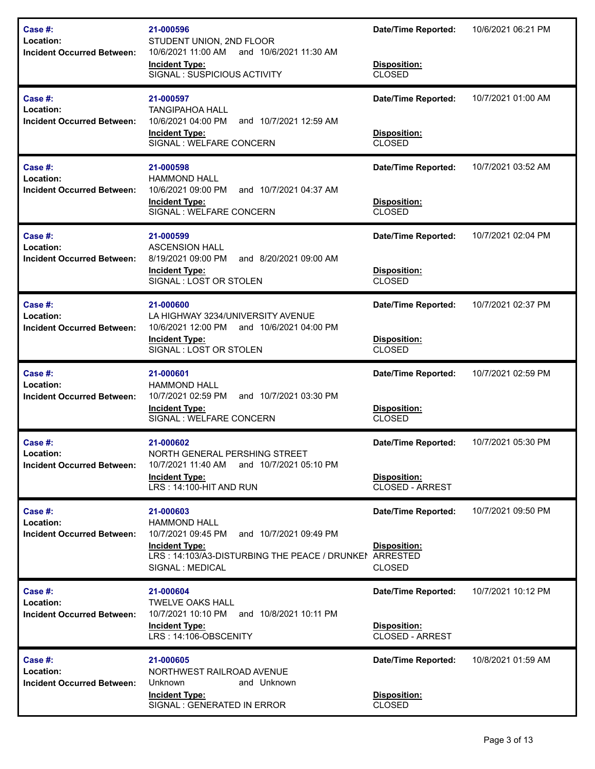| Case #:<br>Location:<br><b>Incident Occurred Between:</b>    | 21-000596<br>STUDENT UNION, 2ND FLOOR<br>10/6/2021 11:00 AM<br>and 10/6/2021 11:30 AM<br><b>Incident Type:</b><br>SIGNAL: SUSPICIOUS ACTIVITY                                           | <b>Date/Time Reported:</b><br>Disposition:<br><b>CLOSED</b>          | 10/6/2021 06:21 PM |
|--------------------------------------------------------------|-----------------------------------------------------------------------------------------------------------------------------------------------------------------------------------------|----------------------------------------------------------------------|--------------------|
| Case #:<br>Location:<br><b>Incident Occurred Between:</b>    | 21-000597<br><b>TANGIPAHOA HALL</b><br>10/6/2021 04:00 PM<br>and 10/7/2021 12:59 AM<br><b>Incident Type:</b><br>SIGNAL: WELFARE CONCERN                                                 | <b>Date/Time Reported:</b><br>Disposition:<br><b>CLOSED</b>          | 10/7/2021 01:00 AM |
| Case #:<br>Location:<br><b>Incident Occurred Between:</b>    | 21-000598<br><b>HAMMOND HALL</b><br>10/6/2021 09:00 PM<br>and 10/7/2021 04:37 AM<br><b>Incident Type:</b><br>SIGNAL : WELFARE CONCERN                                                   | <b>Date/Time Reported:</b><br>Disposition:<br><b>CLOSED</b>          | 10/7/2021 03:52 AM |
| Case #:<br>Location:<br><b>Incident Occurred Between:</b>    | 21-000599<br><b>ASCENSION HALL</b><br>8/19/2021 09:00 PM<br>and 8/20/2021 09:00 AM<br><b>Incident Type:</b><br>SIGNAL: LOST OR STOLEN                                                   | <b>Date/Time Reported:</b><br>Disposition:<br><b>CLOSED</b>          | 10/7/2021 02:04 PM |
| Case #:<br>Location:<br><b>Incident Occurred Between:</b>    | 21-000600<br>LA HIGHWAY 3234/UNIVERSITY AVENUE<br>10/6/2021 12:00 PM<br>and 10/6/2021 04:00 PM<br><b>Incident Type:</b><br>SIGNAL: LOST OR STOLEN                                       | <b>Date/Time Reported:</b><br>Disposition:<br><b>CLOSED</b>          | 10/7/2021 02:37 PM |
| Case #:<br>Location:<br><b>Incident Occurred Between:</b>    | 21-000601<br><b>HAMMOND HALL</b><br>10/7/2021 02:59 PM<br>and 10/7/2021 03:30 PM<br><b>Incident Type:</b><br>SIGNAL : WELFARE CONCERN                                                   | <b>Date/Time Reported:</b><br>Disposition:<br><b>CLOSED</b>          | 10/7/2021 02:59 PM |
| Case #:<br>Location:<br><b>Incident Occurred Between:</b>    | 21-000602<br>NORTH GENERAL PERSHING STREET<br>10/7/2021 11:40 AM and 10/7/2021 05:10 PM<br><b>Incident Type:</b><br>LRS: 14:100-HIT AND RUN                                             | <b>Date/Time Reported:</b><br>Disposition:<br><b>CLOSED - ARREST</b> | 10/7/2021 05:30 PM |
| Case $#$ :<br>Location:<br><b>Incident Occurred Between:</b> | 21-000603<br><b>HAMMOND HALL</b><br>10/7/2021 09:45 PM<br>and 10/7/2021 09:49 PM<br><b>Incident Type:</b><br>LRS: 14:103/A3-DISTURBING THE PEACE / DRUNKEI ARRESTED<br>SIGNAL : MEDICAL | <b>Date/Time Reported:</b><br><b>Disposition:</b><br><b>CLOSED</b>   | 10/7/2021 09:50 PM |
| Case #:<br>Location:<br><b>Incident Occurred Between:</b>    | 21-000604<br>TWELVE OAKS HALL<br>10/7/2021 10:10 PM and 10/8/2021 10:11 PM<br><b>Incident Type:</b><br>LRS: 14:106-OBSCENITY                                                            | <b>Date/Time Reported:</b><br><b>Disposition:</b><br>CLOSED - ARREST | 10/7/2021 10:12 PM |
| Case #:<br>Location:<br><b>Incident Occurred Between:</b>    | 21-000605<br>NORTHWEST RAILROAD AVENUE<br>Unknown<br>and Unknown<br><b>Incident Type:</b><br>SIGNAL : GENERATED IN ERROR                                                                | <b>Date/Time Reported:</b><br>Disposition:<br><b>CLOSED</b>          | 10/8/2021 01:59 AM |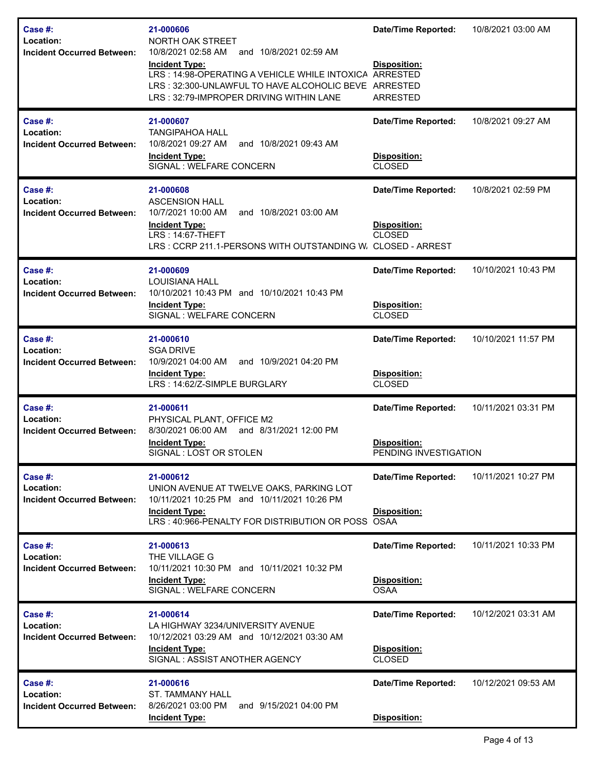| Case #:<br>Location:<br><b>Incident Occurred Between:</b><br>Case $#$ :<br>Location: | 21-000606<br>NORTH OAK STREET<br>10/8/2021 02:58 AM and 10/8/2021 02:59 AM<br><b>Incident Type:</b><br>LRS: 14:98-OPERATING A VEHICLE WHILE INTOXICA<br>LRS: 32:300-UNLAWFUL TO HAVE ALCOHOLIC BEVE ARRESTED<br>LRS: 32:79-IMPROPER DRIVING WITHIN LANE<br>21-000607<br><b>TANGIPAHOA HALL</b> | <b>Date/Time Reported:</b><br>Disposition:<br>ARRESTED<br>ARRESTED<br><b>Date/Time Reported:</b> | 10/8/2021 03:00 AM<br>10/8/2021 09:27 AM |
|--------------------------------------------------------------------------------------|------------------------------------------------------------------------------------------------------------------------------------------------------------------------------------------------------------------------------------------------------------------------------------------------|--------------------------------------------------------------------------------------------------|------------------------------------------|
| <b>Incident Occurred Between:</b>                                                    | 10/8/2021 09:27 AM<br>and 10/8/2021 09:43 AM<br><b>Incident Type:</b><br>SIGNAL : WELFARE CONCERN                                                                                                                                                                                              | Disposition:<br><b>CLOSED</b>                                                                    |                                          |
| Case #:<br>Location:<br><b>Incident Occurred Between:</b>                            | 21-000608<br><b>ASCENSION HALL</b><br>10/7/2021 10:00 AM<br>and 10/8/2021 03:00 AM<br><b>Incident Type:</b><br>LRS: 14:67-THEFT<br>LRS: CCRP 211.1-PERSONS WITH OUTSTANDING W. CLOSED - ARREST                                                                                                 | <b>Date/Time Reported:</b><br>Disposition:<br><b>CLOSED</b>                                      | 10/8/2021 02:59 PM                       |
| Case #:<br>Location:<br><b>Incident Occurred Between:</b>                            | 21-000609<br><b>LOUISIANA HALL</b><br>10/10/2021 10:43 PM and 10/10/2021 10:43 PM<br><b>Incident Type:</b><br>SIGNAL : WELFARE CONCERN                                                                                                                                                         | <b>Date/Time Reported:</b><br>Disposition:<br><b>CLOSED</b>                                      | 10/10/2021 10:43 PM                      |
| Case #:<br>Location:<br><b>Incident Occurred Between:</b>                            | 21-000610<br><b>SGA DRIVE</b><br>and 10/9/2021 04:20 PM<br>10/9/2021 04:00 AM<br><b>Incident Type:</b><br>LRS: 14:62/Z-SIMPLE BURGLARY                                                                                                                                                         | <b>Date/Time Reported:</b><br>Disposition:<br><b>CLOSED</b>                                      | 10/10/2021 11:57 PM                      |
| Case #:<br>Location:<br><b>Incident Occurred Between:</b>                            | 21-000611<br>PHYSICAL PLANT, OFFICE M2<br>8/30/2021 06:00 AM and 8/31/2021 12:00 PM<br><b>Incident Type:</b><br>SIGNAL : LOST OR STOLEN                                                                                                                                                        | <b>Date/Time Reported:</b><br>Disposition:<br>PENDING INVESTIGATION                              | 10/11/2021 03:31 PM                      |
| Case $#$ :<br>Location:<br><b>Incident Occurred Between:</b>                         | 21-000612<br>UNION AVENUE AT TWELVE OAKS, PARKING LOT<br>10/11/2021 10:25 PM and 10/11/2021 10:26 PM<br><b>Incident Type:</b><br>LRS: 40:966-PENALTY FOR DISTRIBUTION OR POSS OSAA                                                                                                             | <b>Date/Time Reported:</b><br>Disposition:                                                       | 10/11/2021 10:27 PM                      |
| Case #:<br>Location:<br><b>Incident Occurred Between:</b>                            | 21-000613<br>THE VILLAGE G<br>10/11/2021 10:30 PM and 10/11/2021 10:32 PM<br><b>Incident Type:</b><br>SIGNAL : WELFARE CONCERN                                                                                                                                                                 | <b>Date/Time Reported:</b><br>Disposition:<br><b>OSAA</b>                                        | 10/11/2021 10:33 PM                      |
| Case #:<br>Location:<br><b>Incident Occurred Between:</b>                            | 21-000614<br>LA HIGHWAY 3234/UNIVERSITY AVENUE<br>10/12/2021 03:29 AM and 10/12/2021 03:30 AM<br><b>Incident Type:</b><br>SIGNAL: ASSIST ANOTHER AGENCY                                                                                                                                        | <b>Date/Time Reported:</b><br>Disposition:<br><b>CLOSED</b>                                      | 10/12/2021 03:31 AM                      |
| Case #:<br>Location:<br><b>Incident Occurred Between:</b>                            | 21-000616<br><b>ST. TAMMANY HALL</b><br>and 9/15/2021 04:00 PM<br>8/26/2021 03:00 PM<br><b>Incident Type:</b>                                                                                                                                                                                  | <b>Date/Time Reported:</b><br>Disposition:                                                       | 10/12/2021 09:53 AM                      |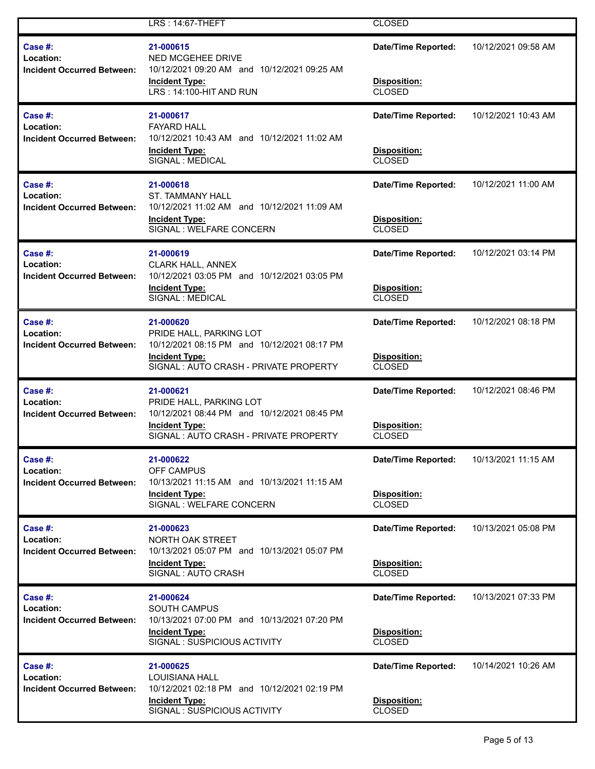|                                                              | LRS: 14:67-THEFT                                                                                                                                      | <b>CLOSED</b>                                               |                     |
|--------------------------------------------------------------|-------------------------------------------------------------------------------------------------------------------------------------------------------|-------------------------------------------------------------|---------------------|
| Case $#$ :<br>Location:<br><b>Incident Occurred Between:</b> | 21-000615<br><b>NED MCGEHEE DRIVE</b><br>10/12/2021 09:20 AM and 10/12/2021 09:25 AM<br><b>Incident Type:</b><br>LRS: 14:100-HIT AND RUN              | <b>Date/Time Reported:</b><br>Disposition:<br><b>CLOSED</b> | 10/12/2021 09:58 AM |
| Case $#$ :<br>Location:<br><b>Incident Occurred Between:</b> | 21-000617<br><b>FAYARD HALL</b><br>10/12/2021 10:43 AM and 10/12/2021 11:02 AM<br><b>Incident Type:</b><br>SIGNAL : MEDICAL                           | <b>Date/Time Reported:</b><br>Disposition:<br><b>CLOSED</b> | 10/12/2021 10:43 AM |
| Case #:<br>Location:<br><b>Incident Occurred Between:</b>    | 21-000618<br><b>ST. TAMMANY HALL</b><br>10/12/2021 11:02 AM and 10/12/2021 11:09 AM<br><b>Incident Type:</b><br>SIGNAL : WELFARE CONCERN              | <b>Date/Time Reported:</b><br>Disposition:<br><b>CLOSED</b> | 10/12/2021 11:00 AM |
| Case $#$ :<br>Location:<br><b>Incident Occurred Between:</b> | 21-000619<br><b>CLARK HALL, ANNEX</b><br>10/12/2021 03:05 PM and 10/12/2021 03:05 PM<br><b>Incident Type:</b><br>SIGNAL : MEDICAL                     | <b>Date/Time Reported:</b><br>Disposition:<br><b>CLOSED</b> | 10/12/2021 03:14 PM |
| Case #:<br>Location:<br><b>Incident Occurred Between:</b>    | 21-000620<br>PRIDE HALL, PARKING LOT<br>10/12/2021 08:15 PM and 10/12/2021 08:17 PM<br><b>Incident Type:</b><br>SIGNAL: AUTO CRASH - PRIVATE PROPERTY | <b>Date/Time Reported:</b><br>Disposition:<br><b>CLOSED</b> | 10/12/2021 08:18 PM |
| Case $#$ :<br>Location:<br><b>Incident Occurred Between:</b> | 21-000621<br>PRIDE HALL, PARKING LOT<br>10/12/2021 08:44 PM and 10/12/2021 08:45 PM<br><b>Incident Type:</b><br>SIGNAL: AUTO CRASH - PRIVATE PROPERTY | <b>Date/Time Reported:</b><br>Disposition:<br><b>CLOSED</b> | 10/12/2021 08:46 PM |
| Case #:<br>Location:<br><b>Incident Occurred Between:</b>    | 21-000622<br><b>OFF CAMPUS</b><br>10/13/2021 11:15 AM and 10/13/2021 11:15 AM<br><b>Incident Type:</b><br>SIGNAL : WELFARE CONCERN                    | <b>Date/Time Reported:</b><br>Disposition:<br><b>CLOSED</b> | 10/13/2021 11:15 AM |
| Case #:<br>Location:<br><b>Incident Occurred Between:</b>    | 21-000623<br>NORTH OAK STREET<br>10/13/2021 05:07 PM and 10/13/2021 05:07 PM<br><b>Incident Type:</b><br>SIGNAL: AUTO CRASH                           | <b>Date/Time Reported:</b><br>Disposition:<br><b>CLOSED</b> | 10/13/2021 05:08 PM |
| Case $#$ :<br>Location:<br><b>Incident Occurred Between:</b> | 21-000624<br><b>SOUTH CAMPUS</b><br>10/13/2021 07:00 PM and 10/13/2021 07:20 PM<br><b>Incident Type:</b><br>SIGNAL: SUSPICIOUS ACTIVITY               | <b>Date/Time Reported:</b><br>Disposition:<br><b>CLOSED</b> | 10/13/2021 07:33 PM |
| Case $#$ :<br>Location:<br><b>Incident Occurred Between:</b> | 21-000625<br><b>LOUISIANA HALL</b><br>10/12/2021 02:18 PM and 10/12/2021 02:19 PM<br><b>Incident Type:</b><br>SIGNAL: SUSPICIOUS ACTIVITY             | <b>Date/Time Reported:</b><br>Disposition:<br><b>CLOSED</b> | 10/14/2021 10:26 AM |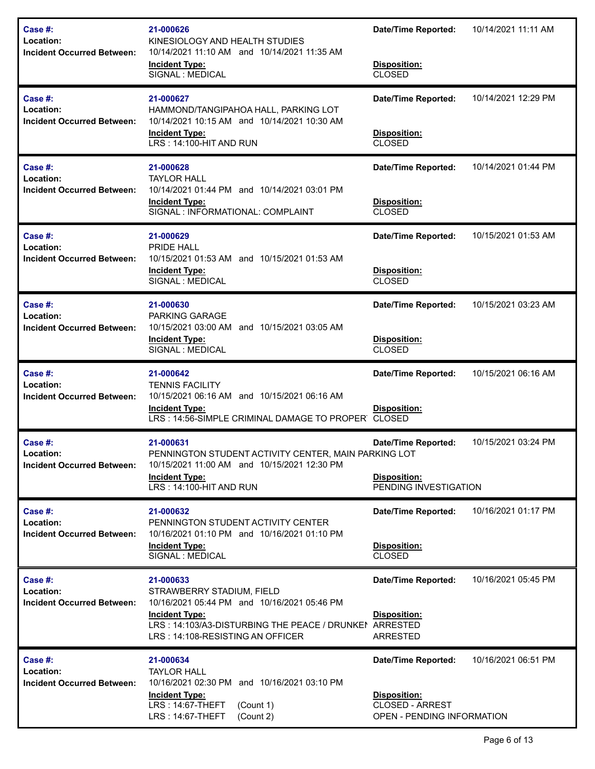| Case #:<br>Location:<br><b>Incident Occurred Between:</b>    | 21-000626<br>KINESIOLOGY AND HEALTH STUDIES<br>10/14/2021 11:10 AM and 10/14/2021 11:35 AM<br><b>Incident Type:</b><br>SIGNAL : MEDICAL                                                                      | <b>Date/Time Reported:</b><br>Disposition:<br><b>CLOSED</b>                                        | 10/14/2021 11:11 AM |
|--------------------------------------------------------------|--------------------------------------------------------------------------------------------------------------------------------------------------------------------------------------------------------------|----------------------------------------------------------------------------------------------------|---------------------|
| Case #:<br>Location:<br><b>Incident Occurred Between:</b>    | 21-000627<br>HAMMOND/TANGIPAHOA HALL, PARKING LOT<br>10/14/2021 10:15 AM and 10/14/2021 10:30 AM<br><b>Incident Type:</b><br>LRS: 14:100-HIT AND RUN                                                         | <b>Date/Time Reported:</b><br>Disposition:<br><b>CLOSED</b>                                        | 10/14/2021 12:29 PM |
| Case $#$ :<br>Location:<br><b>Incident Occurred Between:</b> | 21-000628<br><b>TAYLOR HALL</b><br>10/14/2021 01:44 PM and 10/14/2021 03:01 PM<br><b>Incident Type:</b><br>SIGNAL : INFORMATIONAL: COMPLAINT                                                                 | <b>Date/Time Reported:</b><br>Disposition:<br><b>CLOSED</b>                                        | 10/14/2021 01:44 PM |
| Case #:<br>Location:<br><b>Incident Occurred Between:</b>    | 21-000629<br><b>PRIDE HALL</b><br>10/15/2021 01:53 AM and 10/15/2021 01:53 AM<br><b>Incident Type:</b><br>SIGNAL : MEDICAL                                                                                   | <b>Date/Time Reported:</b><br>Disposition:<br><b>CLOSED</b>                                        | 10/15/2021 01:53 AM |
| Case #:<br>Location:<br><b>Incident Occurred Between:</b>    | 21-000630<br>PARKING GARAGE<br>10/15/2021 03:00 AM and 10/15/2021 03:05 AM<br><b>Incident Type:</b><br>SIGNAL : MEDICAL                                                                                      | <b>Date/Time Reported:</b><br>Disposition:<br><b>CLOSED</b>                                        | 10/15/2021 03:23 AM |
| Case #:<br>Location:<br><b>Incident Occurred Between:</b>    | 21-000642<br><b>TENNIS FACILITY</b><br>10/15/2021 06:16 AM and 10/15/2021 06:16 AM<br><b>Incident Type:</b><br>LRS: 14:56-SIMPLE CRIMINAL DAMAGE TO PROPER CLOSED                                            | <b>Date/Time Reported:</b><br><b>Disposition:</b>                                                  | 10/15/2021 06:16 AM |
| Case #:<br>Location:<br><b>Incident Occurred Between:</b>    | 21-000631<br>PENNINGTON STUDENT ACTIVITY CENTER, MAIN PARKING LOT<br>10/15/2021 11:00 AM and 10/15/2021 12:30 PM<br><b>Incident Type:</b><br>LRS: 14:100-HIT AND RUN                                         | <b>Date/Time Reported:</b><br>Disposition:<br>PENDING INVESTIGATION                                | 10/15/2021 03:24 PM |
| Case $#$ :<br>Location:<br><b>Incident Occurred Between:</b> | 21-000632<br>PENNINGTON STUDENT ACTIVITY CENTER<br>10/16/2021 01:10 PM and 10/16/2021 01:10 PM<br><b>Incident Type:</b><br>SIGNAL : MEDICAL                                                                  | <b>Date/Time Reported:</b><br>Disposition:<br><b>CLOSED</b>                                        | 10/16/2021 01:17 PM |
| Case #:<br>Location:<br><b>Incident Occurred Between:</b>    | 21-000633<br>STRAWBERRY STADIUM, FIELD<br>10/16/2021 05:44 PM and 10/16/2021 05:46 PM<br><b>Incident Type:</b><br>LRS: 14:103/A3-DISTURBING THE PEACE / DRUNKEN ARRESTED<br>LRS: 14:108-RESISTING AN OFFICER | <b>Date/Time Reported:</b><br>Disposition:<br>ARRESTED                                             | 10/16/2021 05:45 PM |
| Case #:<br>Location:<br><b>Incident Occurred Between:</b>    | 21-000634<br><b>TAYLOR HALL</b><br>10/16/2021 02:30 PM and 10/16/2021 03:10 PM<br><b>Incident Type:</b><br>LRS: 14:67-THEFT<br>(Count 1)<br>LRS: 14:67-THEFT<br>(Count 2)                                    | <b>Date/Time Reported:</b><br><b>Disposition:</b><br>CLOSED - ARREST<br>OPEN - PENDING INFORMATION | 10/16/2021 06:51 PM |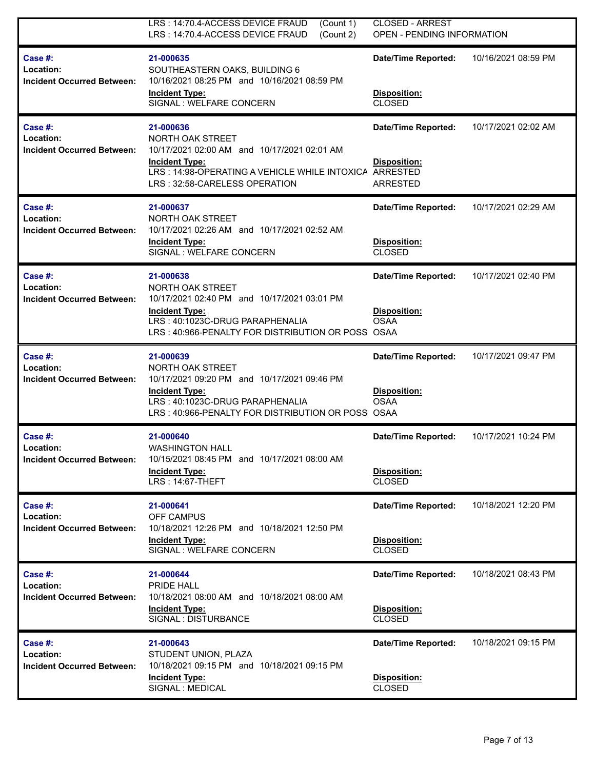|                                                           | LRS: 14:70.4-ACCESS DEVICE FRAUD<br>(Count 1)<br>LRS: 14:70.4-ACCESS DEVICE FRAUD<br>(Count 2)                                                                                                | <b>CLOSED - ARREST</b><br>OPEN - PENDING INFORMATION                             |                     |
|-----------------------------------------------------------|-----------------------------------------------------------------------------------------------------------------------------------------------------------------------------------------------|----------------------------------------------------------------------------------|---------------------|
| Case #:<br>Location:<br><b>Incident Occurred Between:</b> | 21-000635<br>SOUTHEASTERN OAKS, BUILDING 6<br>10/16/2021 08:25 PM and 10/16/2021 08:59 PM<br><b>Incident Type:</b><br>SIGNAL : WELFARE CONCERN                                                | <b>Date/Time Reported:</b><br>Disposition:<br><b>CLOSED</b>                      | 10/16/2021 08:59 PM |
| Case #:<br>Location:<br><b>Incident Occurred Between:</b> | 21-000636<br>NORTH OAK STREET<br>10/17/2021 02:00 AM and 10/17/2021 02:01 AM<br><b>Incident Type:</b><br>LRS: 14:98-OPERATING A VEHICLE WHILE INTOXICA<br>LRS: 32:58-CARELESS OPERATION       | <b>Date/Time Reported:</b><br><b>Disposition:</b><br><b>ARRESTED</b><br>ARRESTED | 10/17/2021 02:02 AM |
| Case #:<br>Location:<br><b>Incident Occurred Between:</b> | 21-000637<br>NORTH OAK STREET<br>10/17/2021 02:26 AM and 10/17/2021 02:52 AM<br><b>Incident Type:</b><br>SIGNAL : WELFARE CONCERN                                                             | <b>Date/Time Reported:</b><br>Disposition:<br><b>CLOSED</b>                      | 10/17/2021 02:29 AM |
| Case #:<br>Location:<br><b>Incident Occurred Between:</b> | 21-000638<br>NORTH OAK STREET<br>10/17/2021 02:40 PM and 10/17/2021 03:01 PM<br><b>Incident Type:</b><br>LRS: 40:1023C-DRUG PARAPHENALIA<br>LRS: 40:966-PENALTY FOR DISTRIBUTION OR POSS OSAA | <b>Date/Time Reported:</b><br>Disposition:<br><b>OSAA</b>                        | 10/17/2021 02:40 PM |
| Case #:<br>Location:<br><b>Incident Occurred Between:</b> | 21-000639<br>NORTH OAK STREET<br>10/17/2021 09:20 PM and 10/17/2021 09:46 PM<br><b>Incident Type:</b><br>LRS: 40:1023C-DRUG PARAPHENALIA<br>LRS: 40:966-PENALTY FOR DISTRIBUTION OR POSS OSAA | <b>Date/Time Reported:</b><br><b>Disposition:</b><br><b>OSAA</b>                 | 10/17/2021 09:47 PM |
| Case #:<br>Location:<br><b>Incident Occurred Between:</b> | 21-000640<br><b>WASHINGTON HALL</b><br>10/15/2021 08:45 PM and 10/17/2021 08:00 AM<br><b>Incident Type:</b><br>LRS: 14:67-THEFT                                                               | <b>Date/Time Reported:</b><br>Disposition:<br><b>CLOSED</b>                      | 10/17/2021 10:24 PM |
| Case #:<br>Location:<br><b>Incident Occurred Between:</b> | 21-000641<br>OFF CAMPUS<br>10/18/2021 12:26 PM and 10/18/2021 12:50 PM<br><b>Incident Type:</b><br>SIGNAL : WELFARE CONCERN                                                                   | <b>Date/Time Reported:</b><br>Disposition:<br><b>CLOSED</b>                      | 10/18/2021 12:20 PM |
| Case #:<br>Location:<br><b>Incident Occurred Between:</b> | 21-000644<br><b>PRIDE HALL</b><br>10/18/2021 08:00 AM and 10/18/2021 08:00 AM<br><b>Incident Type:</b><br>SIGNAL : DISTURBANCE                                                                | <b>Date/Time Reported:</b><br>Disposition:<br><b>CLOSED</b>                      | 10/18/2021 08:43 PM |
| Case #:<br>Location:<br><b>Incident Occurred Between:</b> | 21-000643<br>STUDENT UNION, PLAZA<br>10/18/2021 09:15 PM and 10/18/2021 09:15 PM<br><b>Incident Type:</b><br>SIGNAL : MEDICAL                                                                 | Date/Time Reported:<br>Disposition:<br><b>CLOSED</b>                             | 10/18/2021 09:15 PM |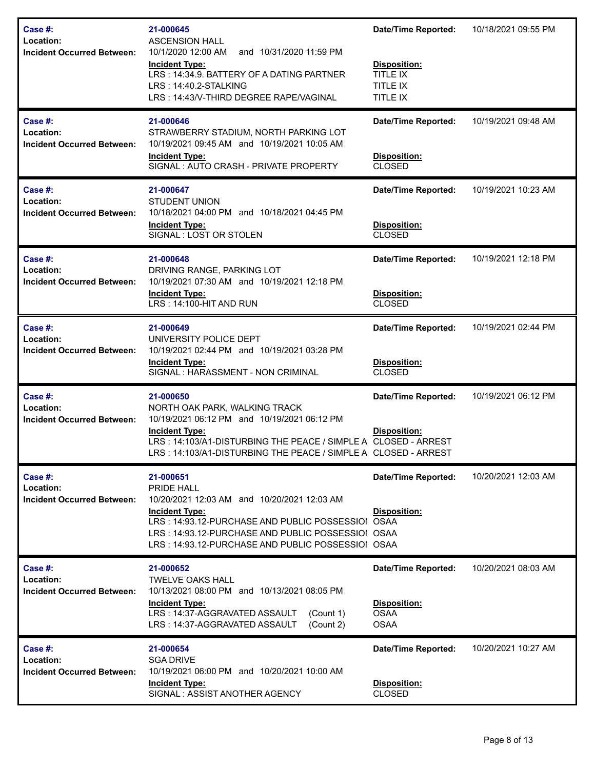| Case $#$ :<br>Location:<br><b>Incident Occurred Between:</b> | 21-000645<br><b>ASCENSION HALL</b><br>10/1/2020 12:00 AM<br>and 10/31/2020 11:59 PM<br>Incident Type:<br>LRS: 14:34.9. BATTERY OF A DATING PARTNER<br>LRS: 14:40.2-STALKING<br>LRS: 14:43/V-THIRD DEGREE RAPE/VAGINAL                                                 | <b>Date/Time Reported:</b><br>Disposition:<br><b>TITLE IX</b><br>TITLE IX<br>TITLE IX | 10/18/2021 09:55 PM |
|--------------------------------------------------------------|-----------------------------------------------------------------------------------------------------------------------------------------------------------------------------------------------------------------------------------------------------------------------|---------------------------------------------------------------------------------------|---------------------|
| Case $#$ :<br>Location:<br><b>Incident Occurred Between:</b> | 21-000646<br>STRAWBERRY STADIUM, NORTH PARKING LOT<br>10/19/2021 09:45 AM and 10/19/2021 10:05 AM<br><b>Incident Type:</b><br>SIGNAL: AUTO CRASH - PRIVATE PROPERTY                                                                                                   | <b>Date/Time Reported:</b><br>Disposition:<br><b>CLOSED</b>                           | 10/19/2021 09:48 AM |
| Case #:<br>Location:<br><b>Incident Occurred Between:</b>    | 21-000647<br><b>STUDENT UNION</b><br>10/18/2021 04:00 PM and 10/18/2021 04:45 PM<br><b>Incident Type:</b><br>SIGNAL: LOST OR STOLEN                                                                                                                                   | <b>Date/Time Reported:</b><br>Disposition:<br><b>CLOSED</b>                           | 10/19/2021 10:23 AM |
| Case #:<br>Location:<br><b>Incident Occurred Between:</b>    | 21-000648<br>DRIVING RANGE, PARKING LOT<br>10/19/2021 07:30 AM and 10/19/2021 12:18 PM<br><b>Incident Type:</b><br>LRS: 14:100-HIT AND RUN                                                                                                                            | <b>Date/Time Reported:</b><br>Disposition:<br><b>CLOSED</b>                           | 10/19/2021 12:18 PM |
| Case #:<br>Location:<br><b>Incident Occurred Between:</b>    | 21-000649<br>UNIVERSITY POLICE DEPT<br>10/19/2021 02:44 PM and 10/19/2021 03:28 PM<br><b>Incident Type:</b><br>SIGNAL : HARASSMENT - NON CRIMINAL                                                                                                                     | <b>Date/Time Reported:</b><br>Disposition:<br><b>CLOSED</b>                           | 10/19/2021 02:44 PM |
| Case $#$ :<br>Location:<br><b>Incident Occurred Between:</b> | 21-000650<br>NORTH OAK PARK, WALKING TRACK<br>10/19/2021 06:12 PM and 10/19/2021 06:12 PM<br><b>Incident Type:</b><br>LRS: 14:103/A1-DISTURBING THE PEACE / SIMPLE A CLOSED - ARREST<br>LRS : 14:103/A1-DISTURBING THE PEACE / SIMPLE A CLOSED - ARREST               | <b>Date/Time Reported:</b><br>Disposition:                                            | 10/19/2021 06:12 PM |
| Case $#$ :<br>Location:<br><b>Incident Occurred Between:</b> | 21-000651<br><b>PRIDE HALL</b><br>10/20/2021 12:03 AM and 10/20/2021 12:03 AM<br><b>Incident Type:</b><br>LRS: 14:93.12-PURCHASE AND PUBLIC POSSESSIOI OSAA<br>LRS: 14:93.12-PURCHASE AND PUBLIC POSSESSIOI OSAA<br>LRS: 14:93.12-PURCHASE AND PUBLIC POSSESSIOI OSAA | <b>Date/Time Reported:</b><br>Disposition:                                            | 10/20/2021 12:03 AM |
| Case $#$ :<br>Location:<br><b>Incident Occurred Between:</b> | 21-000652<br><b>TWELVE OAKS HALL</b><br>10/13/2021 08:00 PM and 10/13/2021 08:05 PM<br><b>Incident Type:</b><br>LRS: 14:37-AGGRAVATED ASSAULT<br>(Count 1)<br>LRS: 14:37-AGGRAVATED ASSAULT<br>(Count 2)                                                              | <b>Date/Time Reported:</b><br>Disposition:<br><b>OSAA</b><br><b>OSAA</b>              | 10/20/2021 08:03 AM |
| Case #:<br>Location:<br><b>Incident Occurred Between:</b>    | 21-000654<br><b>SGA DRIVE</b><br>10/19/2021 06:00 PM and 10/20/2021 10:00 AM<br><b>Incident Type:</b><br>SIGNAL: ASSIST ANOTHER AGENCY                                                                                                                                | Date/Time Reported:<br>Disposition:<br><b>CLOSED</b>                                  | 10/20/2021 10:27 AM |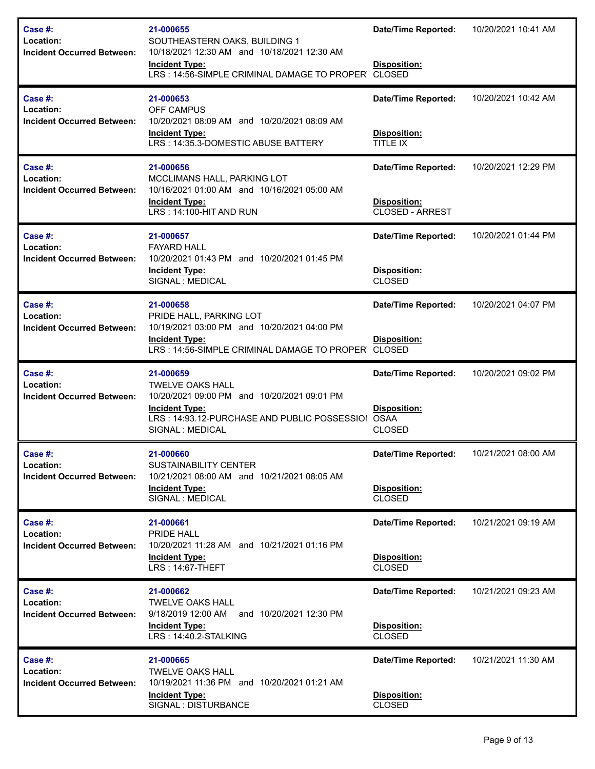| Case #:<br>Location:<br><b>Incident Occurred Between:</b>    | 21-000655<br>SOUTHEASTERN OAKS, BUILDING 1<br>10/18/2021 12:30 AM and 10/18/2021 12:30 AM<br><b>Incident Type:</b><br>LRS: 14:56-SIMPLE CRIMINAL DAMAGE TO PROPER CLOSED         | <b>Date/Time Reported:</b><br>Disposition:                                 | 10/20/2021 10:41 AM |
|--------------------------------------------------------------|----------------------------------------------------------------------------------------------------------------------------------------------------------------------------------|----------------------------------------------------------------------------|---------------------|
| Case #:<br>Location:<br><b>Incident Occurred Between:</b>    | 21-000653<br><b>OFF CAMPUS</b><br>10/20/2021 08:09 AM and 10/20/2021 08:09 AM<br><b>Incident Type:</b><br>LRS: 14:35.3-DOMESTIC ABUSE BATTERY                                    | <b>Date/Time Reported:</b><br>Disposition:<br>TITLE IX                     | 10/20/2021 10:42 AM |
| Case #:<br>Location:<br><b>Incident Occurred Between:</b>    | 21-000656<br>MCCLIMANS HALL, PARKING LOT<br>10/16/2021 01:00 AM and 10/16/2021 05:00 AM<br><b>Incident Type:</b><br>LRS: 14:100-HIT AND RUN                                      | <b>Date/Time Reported:</b><br>Disposition:<br><b>CLOSED - ARREST</b>       | 10/20/2021 12:29 PM |
| Case #:<br>Location:<br><b>Incident Occurred Between:</b>    | 21-000657<br><b>FAYARD HALL</b><br>10/20/2021 01:43 PM and 10/20/2021 01:45 PM<br><b>Incident Type:</b><br>SIGNAL : MEDICAL                                                      | <b>Date/Time Reported:</b><br>Disposition:<br><b>CLOSED</b>                | 10/20/2021 01:44 PM |
| Case #:<br>Location:<br><b>Incident Occurred Between:</b>    | 21-000658<br>PRIDE HALL, PARKING LOT<br>10/19/2021 03:00 PM and 10/20/2021 04:00 PM<br><b>Incident Type:</b><br>LRS: 14:56-SIMPLE CRIMINAL DAMAGE TO PROPER CLOSED               | <b>Date/Time Reported:</b><br><b>Disposition:</b>                          | 10/20/2021 04:07 PM |
| Case #:<br>Location:<br><b>Incident Occurred Between:</b>    | 21-000659<br><b>TWELVE OAKS HALL</b><br>10/20/2021 09:00 PM and 10/20/2021 09:01 PM<br><b>Incident Type:</b><br>LRS: 14:93.12-PURCHASE AND PUBLIC POSSESSIOI<br>SIGNAL : MEDICAL | <b>Date/Time Reported:</b><br>Disposition:<br><b>OSAA</b><br><b>CLOSED</b> | 10/20/2021 09:02 PM |
| Case #:<br>Location:<br><b>Incident Occurred Between:</b>    | 21-000660<br><b>SUSTAINABILITY CENTER</b><br>10/21/2021 08:00 AM and 10/21/2021 08:05 AM<br><b>Incident Type:</b><br>SIGNAL : MEDICAL                                            | <b>Date/Time Reported:</b><br>Disposition:<br><b>CLOSED</b>                | 10/21/2021 08:00 AM |
| Case #:<br>Location:<br><b>Incident Occurred Between:</b>    | 21-000661<br>PRIDE HALL<br>10/20/2021 11:28 AM and 10/21/2021 01:16 PM<br><b>Incident Type:</b><br>LRS: 14:67-THEFT                                                              | <b>Date/Time Reported:</b><br>Disposition:<br><b>CLOSED</b>                | 10/21/2021 09:19 AM |
| Case #:<br>Location:<br><b>Incident Occurred Between:</b>    | 21-000662<br><b>TWELVE OAKS HALL</b><br>9/18/2019 12:00 AM<br>and 10/20/2021 12:30 PM<br><b>Incident Type:</b><br>LRS: 14:40.2-STALKING                                          | <b>Date/Time Reported:</b><br>Disposition:<br><b>CLOSED</b>                | 10/21/2021 09:23 AM |
| Case $#$ :<br>Location:<br><b>Incident Occurred Between:</b> | 21-000665<br><b>TWELVE OAKS HALL</b><br>10/19/2021 11:36 PM and 10/20/2021 01:21 AM<br><b>Incident Type:</b><br>SIGNAL : DISTURBANCE                                             | <b>Date/Time Reported:</b><br>Disposition:<br><b>CLOSED</b>                | 10/21/2021 11:30 AM |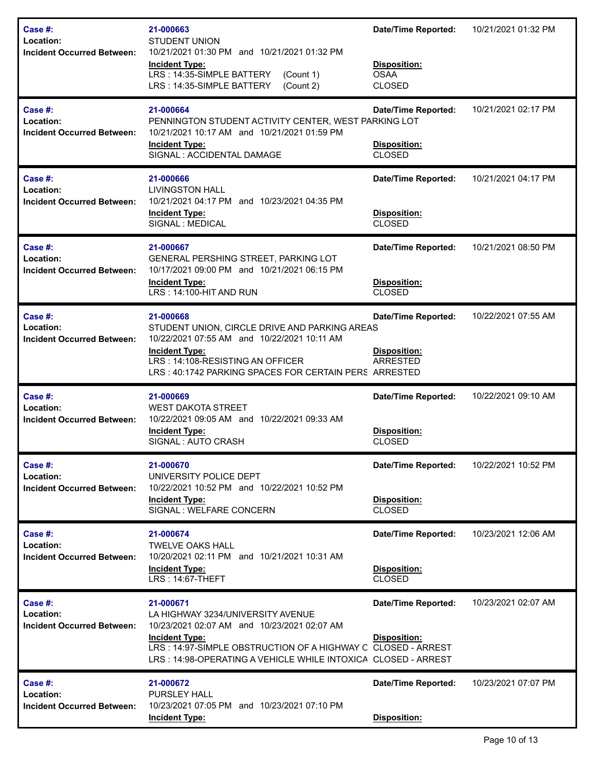| Case #:<br>Location:<br><b>Incident Occurred Between:</b>    | 21-000663<br><b>STUDENT UNION</b><br>10/21/2021 01:30 PM and 10/21/2021 01:32 PM<br><b>Incident Type:</b><br>LRS: 14:35-SIMPLE BATTERY<br>(Count 1)<br>LRS: 14:35-SIMPLE BATTERY<br>(Count 2)                                                           | <b>Date/Time Reported:</b><br>Disposition:<br><b>OSAA</b><br><b>CLOSED</b> | 10/21/2021 01:32 PM |
|--------------------------------------------------------------|---------------------------------------------------------------------------------------------------------------------------------------------------------------------------------------------------------------------------------------------------------|----------------------------------------------------------------------------|---------------------|
| Case $#$ :<br>Location:<br><b>Incident Occurred Between:</b> | 21-000664<br>PENNINGTON STUDENT ACTIVITY CENTER, WEST PARKING LOT<br>10/21/2021 10:17 AM and 10/21/2021 01:59 PM<br><b>Incident Type:</b><br>SIGNAL : ACCIDENTAL DAMAGE                                                                                 | <b>Date/Time Reported:</b><br>Disposition:<br><b>CLOSED</b>                | 10/21/2021 02:17 PM |
| Case #:<br>Location:<br><b>Incident Occurred Between:</b>    | 21-000666<br>LIVINGSTON HALL<br>10/21/2021 04:17 PM and 10/23/2021 04:35 PM<br><b>Incident Type:</b><br>SIGNAL : MEDICAL                                                                                                                                | <b>Date/Time Reported:</b><br>Disposition:<br><b>CLOSED</b>                | 10/21/2021 04:17 PM |
| Case $#$ :<br>Location:<br><b>Incident Occurred Between:</b> | 21-000667<br>GENERAL PERSHING STREET, PARKING LOT<br>10/17/2021 09:00 PM and 10/21/2021 06:15 PM<br><b>Incident Type:</b><br>LRS: 14:100-HIT AND RUN                                                                                                    | <b>Date/Time Reported:</b><br>Disposition:<br><b>CLOSED</b>                | 10/21/2021 08:50 PM |
| Case #:<br>Location:<br><b>Incident Occurred Between:</b>    | 21-000668<br>STUDENT UNION, CIRCLE DRIVE AND PARKING AREAS<br>10/22/2021 07:55 AM and 10/22/2021 10:11 AM<br><b>Incident Type:</b><br>LRS: 14:108-RESISTING AN OFFICER<br>LRS: 40:1742 PARKING SPACES FOR CERTAIN PERS ARRESTED                         | <b>Date/Time Reported:</b><br>Disposition:<br><b>ARRESTED</b>              | 10/22/2021 07:55 AM |
| Case #:<br>Location:<br><b>Incident Occurred Between:</b>    | 21-000669<br><b>WEST DAKOTA STREET</b><br>10/22/2021 09:05 AM and 10/22/2021 09:33 AM<br><b>Incident Type:</b><br>SIGNAL: AUTO CRASH                                                                                                                    | <b>Date/Time Reported:</b><br>Disposition:<br><b>CLOSED</b>                | 10/22/2021 09:10 AM |
| Case #:<br>Location:<br><b>Incident Occurred Between:</b>    | 21-000670<br>UNIVERSITY POLICE DEPT<br>10/22/2021 10:52 PM and 10/22/2021 10:52 PM<br><b>Incident Type:</b><br>SIGNAL: WELFARE CONCERN                                                                                                                  | <b>Date/Time Reported:</b><br>Disposition:<br><b>CLOSED</b>                | 10/22/2021 10:52 PM |
| Case $#$ :<br>Location:<br><b>Incident Occurred Between:</b> | 21-000674<br>TWELVE OAKS HALL<br>10/20/2021 02:11 PM and 10/21/2021 10:31 AM<br><b>Incident Type:</b><br>LRS: 14:67-THEFT                                                                                                                               | <b>Date/Time Reported:</b><br>Disposition:<br><b>CLOSED</b>                | 10/23/2021 12:06 AM |
| Case #:<br>Location:<br><b>Incident Occurred Between:</b>    | 21-000671<br>LA HIGHWAY 3234/UNIVERSITY AVENUE<br>10/23/2021 02:07 AM and 10/23/2021 02:07 AM<br><b>Incident Type:</b><br>LRS: 14:97-SIMPLE OBSTRUCTION OF A HIGHWAY C CLOSED - ARREST<br>LRS: 14:98-OPERATING A VEHICLE WHILE INTOXICA CLOSED - ARREST | <b>Date/Time Reported:</b><br>Disposition:                                 | 10/23/2021 02:07 AM |
| Case #:<br>Location:<br><b>Incident Occurred Between:</b>    | 21-000672<br><b>PURSLEY HALL</b><br>10/23/2021 07:05 PM and 10/23/2021 07:10 PM<br><b>Incident Type:</b>                                                                                                                                                | <b>Date/Time Reported:</b><br>Disposition:                                 | 10/23/2021 07:07 PM |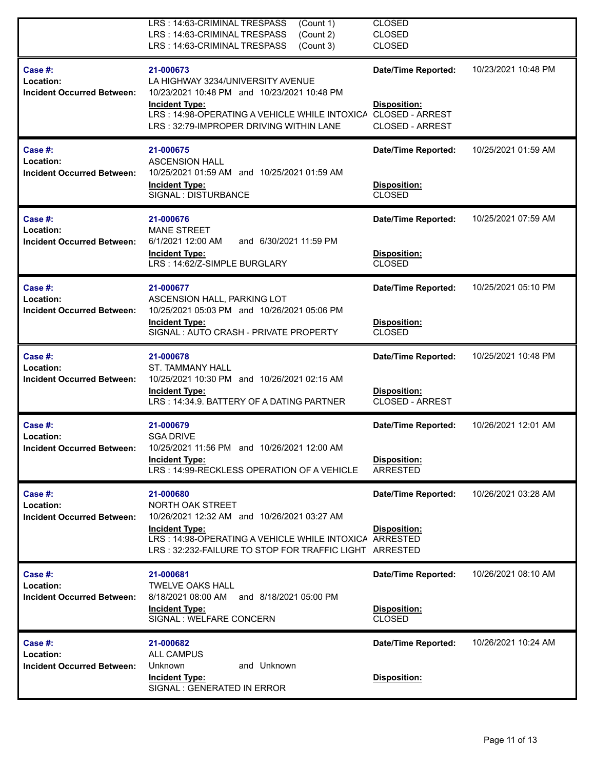|                                                           | LRS: 14:63-CRIMINAL TRESPASS<br>(Count 1)<br>(Count 2)<br>LRS: 14:63-CRIMINAL TRESPASS<br>LRS: 14:63-CRIMINAL TRESPASS<br>(Count 3)                                                      | <b>CLOSED</b><br><b>CLOSED</b><br><b>CLOSED</b> |                     |
|-----------------------------------------------------------|------------------------------------------------------------------------------------------------------------------------------------------------------------------------------------------|-------------------------------------------------|---------------------|
| Case #:<br>Location:<br><b>Incident Occurred Between:</b> | 21-000673<br>LA HIGHWAY 3234/UNIVERSITY AVENUE<br>10/23/2021 10:48 PM and 10/23/2021 10:48 PM<br><b>Incident Type:</b>                                                                   | <b>Date/Time Reported:</b><br>Disposition:      | 10/23/2021 10:48 PM |
|                                                           | LRS: 14:98-OPERATING A VEHICLE WHILE INTOXICA CLOSED - ARREST<br>LRS: 32:79-IMPROPER DRIVING WITHIN LANE                                                                                 | <b>CLOSED - ARREST</b>                          |                     |
| Case #:<br>Location:<br><b>Incident Occurred Between:</b> | 21-000675<br><b>ASCENSION HALL</b><br>10/25/2021 01:59 AM and 10/25/2021 01:59 AM                                                                                                        | <b>Date/Time Reported:</b>                      | 10/25/2021 01:59 AM |
|                                                           | <b>Incident Type:</b><br>SIGNAL : DISTURBANCE                                                                                                                                            | Disposition:<br><b>CLOSED</b>                   |                     |
| Case $#$ :<br>Location:                                   | 21-000676<br><b>MANE STREET</b>                                                                                                                                                          | <b>Date/Time Reported:</b>                      | 10/25/2021 07:59 AM |
| <b>Incident Occurred Between:</b>                         | and 6/30/2021 11:59 PM<br>6/1/2021 12:00 AM<br><b>Incident Type:</b><br>LRS: 14:62/Z-SIMPLE BURGLARY                                                                                     | Disposition:<br><b>CLOSED</b>                   |                     |
| Case #:<br>Location:                                      | 21-000677<br>ASCENSION HALL, PARKING LOT                                                                                                                                                 | <b>Date/Time Reported:</b>                      | 10/25/2021 05:10 PM |
| <b>Incident Occurred Between:</b>                         | 10/25/2021 05:03 PM and 10/26/2021 05:06 PM<br><b>Incident Type:</b><br>SIGNAL: AUTO CRASH - PRIVATE PROPERTY                                                                            | Disposition:<br><b>CLOSED</b>                   |                     |
| Case #:<br>Location:                                      | 21-000678<br><b>ST. TAMMANY HALL</b>                                                                                                                                                     | <b>Date/Time Reported:</b>                      | 10/25/2021 10:48 PM |
| <b>Incident Occurred Between:</b>                         | 10/25/2021 10:30 PM and 10/26/2021 02:15 AM<br><b>Incident Type:</b><br>LRS: 14:34.9. BATTERY OF A DATING PARTNER                                                                        | Disposition:<br><b>CLOSED - ARREST</b>          |                     |
| Case #:<br>Location:                                      | 21-000679<br><b>SGA DRIVE</b>                                                                                                                                                            | <b>Date/Time Reported:</b>                      | 10/26/2021 12:01 AM |
| <b>Incident Occurred Between:</b>                         | 10/25/2021 11:56 PM and 10/26/2021 12:00 AM<br><b>Incident Type:</b><br>LRS: 14:99-RECKLESS OPERATION OF A VEHICLE                                                                       | Disposition:<br><b>ARRESTED</b>                 |                     |
| Case #:<br>Location:                                      | 21-000680<br>NORTH OAK STREET                                                                                                                                                            | <b>Date/Time Reported:</b>                      | 10/26/2021 03:28 AM |
| <b>Incident Occurred Between:</b>                         | 10/26/2021 12:32 AM and 10/26/2021 03:27 AM<br><b>Incident Type:</b><br>LRS: 14:98-OPERATING A VEHICLE WHILE INTOXICA ARRESTED<br>LRS: 32:232-FAILURE TO STOP FOR TRAFFIC LIGHT ARRESTED | Disposition:                                    |                     |
| Case #:<br>Location:                                      | 21-000681<br><b>TWELVE OAKS HALL</b>                                                                                                                                                     | <b>Date/Time Reported:</b>                      | 10/26/2021 08:10 AM |
| <b>Incident Occurred Between:</b>                         | 8/18/2021 08:00 AM<br>and 8/18/2021 05:00 PM<br><b>Incident Type:</b><br>SIGNAL : WELFARE CONCERN                                                                                        | Disposition:<br><b>CLOSED</b>                   |                     |
| Case #:<br>Location:                                      | 21-000682<br><b>ALL CAMPUS</b>                                                                                                                                                           | <b>Date/Time Reported:</b>                      | 10/26/2021 10:24 AM |
| <b>Incident Occurred Between:</b>                         | Unknown<br>and Unknown<br><b>Incident Type:</b><br>SIGNAL : GENERATED IN ERROR                                                                                                           | Disposition:                                    |                     |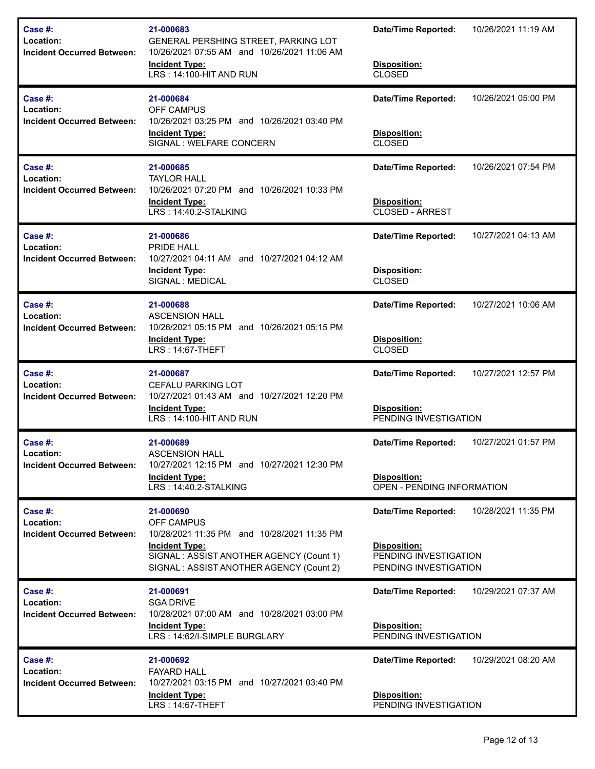| Case #:<br>Location:<br><b>Incident Occurred Between:</b>    | 21-000683<br>GENERAL PERSHING STREET, PARKING LOT<br>10/26/2021 07:55 AM and 10/26/2021 11:06 AM<br><b>Incident Type:</b><br>LRS: 14:100-HIT AND RUN       | <b>Date/Time Reported:</b><br>Disposition:<br><b>CLOSED</b>    | 10/26/2021 11:19 AM |
|--------------------------------------------------------------|------------------------------------------------------------------------------------------------------------------------------------------------------------|----------------------------------------------------------------|---------------------|
| Case $#$ :<br>Location:<br><b>Incident Occurred Between:</b> | 21-000684<br>OFF CAMPUS<br>10/26/2021 03:25 PM and 10/26/2021 03:40 PM<br><b>Incident Type:</b>                                                            | <b>Date/Time Reported:</b><br>Disposition:                     | 10/26/2021 05:00 PM |
|                                                              | SIGNAL : WELFARE CONCERN                                                                                                                                   | <b>CLOSED</b>                                                  |                     |
| Case $#$ :<br>Location:<br><b>Incident Occurred Between:</b> | 21-000685<br><b>TAYLOR HALL</b><br>10/26/2021 07:20 PM and 10/26/2021 10:33 PM                                                                             | <b>Date/Time Reported:</b>                                     | 10/26/2021 07:54 PM |
|                                                              | <b>Incident Type:</b><br>LRS: 14:40.2-STALKING                                                                                                             | <b>Disposition:</b><br><b>CLOSED - ARREST</b>                  |                     |
| Case $#$ :<br>Location:                                      | 21-000686<br>PRIDE HALL                                                                                                                                    | <b>Date/Time Reported:</b>                                     | 10/27/2021 04:13 AM |
| <b>Incident Occurred Between:</b>                            | 10/27/2021 04:11 AM and 10/27/2021 04:12 AM<br><b>Incident Type:</b><br>SIGNAL : MEDICAL                                                                   | <b>Disposition:</b><br><b>CLOSED</b>                           |                     |
| Case #:<br>Location:                                         | 21-000688<br><b>ASCENSION HALL</b>                                                                                                                         | <b>Date/Time Reported:</b>                                     | 10/27/2021 10:06 AM |
| <b>Incident Occurred Between:</b>                            | 10/26/2021 05:15 PM and 10/26/2021 05:15 PM<br><b>Incident Type:</b><br><b>LRS: 14:67-THEFT</b>                                                            | Disposition:<br><b>CLOSED</b>                                  |                     |
| Case $#$ :<br>Location:                                      | 21-000687<br><b>CEFALU PARKING LOT</b>                                                                                                                     | <b>Date/Time Reported:</b>                                     | 10/27/2021 12:57 PM |
| <b>Incident Occurred Between:</b>                            | 10/27/2021 01:43 AM and 10/27/2021 12:20 PM<br><b>Incident Type:</b><br>LRS: 14:100-HIT AND RUN                                                            | Disposition:<br>PENDING INVESTIGATION                          |                     |
| Case #:<br>Location:                                         | 21-000689<br>ASCENSION HALL                                                                                                                                | <b>Date/Time Reported:</b>                                     | 10/27/2021 01:57 PM |
| <b>Incident Occurred Between:</b>                            | 10/27/2021 12:15 PM and 10/27/2021 12:30 PM<br><b>Incident Type:</b><br>LRS: 14:40.2-STALKING                                                              | <b>Disposition:</b><br>OPEN - PENDING INFORMATION              |                     |
| Case $#$ :<br>Location:                                      | 21-000690<br><b>OFF CAMPUS</b>                                                                                                                             | <b>Date/Time Reported:</b>                                     | 10/28/2021 11:35 PM |
| <b>Incident Occurred Between:</b>                            | 10/28/2021 11:35 PM and 10/28/2021 11:35 PM<br><b>Incident Type:</b><br>SIGNAL: ASSIST ANOTHER AGENCY (Count 1)<br>SIGNAL: ASSIST ANOTHER AGENCY (Count 2) | Disposition:<br>PENDING INVESTIGATION<br>PENDING INVESTIGATION |                     |
| Case #:<br>Location:                                         | 21-000691<br><b>SGA DRIVE</b>                                                                                                                              | <b>Date/Time Reported:</b>                                     | 10/29/2021 07:37 AM |
| <b>Incident Occurred Between:</b>                            | 10/28/2021 07:00 AM and 10/28/2021 03:00 PM<br><b>Incident Type:</b><br>LRS: 14:62/I-SIMPLE BURGLARY                                                       | Disposition:<br>PENDING INVESTIGATION                          |                     |
| Case #:<br>Location:<br><b>Incident Occurred Between:</b>    | 21-000692<br><b>FAYARD HALL</b><br>10/27/2021 03:15 PM and 10/27/2021 03:40 PM                                                                             | <b>Date/Time Reported:</b>                                     | 10/29/2021 08:20 AM |
|                                                              | <b>Incident Type:</b><br>LRS: 14:67-THEFT                                                                                                                  | Disposition:<br>PENDING INVESTIGATION                          |                     |